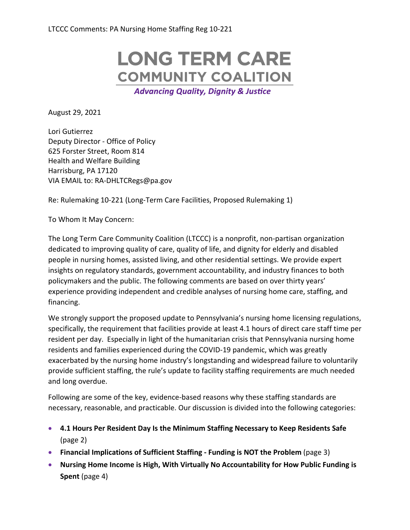# **LONG TERM CARE COMMUNITY COALITION**

**Advancing Quality, Dignity & Justice** 

August 29, 2021

Lori Gutierrez Deputy Director - Office of Policy 625 Forster Street, Room 814 Health and Welfare Building Harrisburg, PA 17120 VIA EMAIL to: RA-DHLTCRegs@pa.gov

Re: Rulemaking 10-221 (Long-Term Care Facilities, Proposed Rulemaking 1)

To Whom It May Concern:

The Long Term Care Community Coalition (LTCCC) is a nonprofit, non-partisan organization dedicated to improving quality of care, quality of life, and dignity for elderly and disabled people in nursing homes, assisted living, and other residential settings. We provide expert insights on regulatory standards, government accountability, and industry finances to both policymakers and the public. The following comments are based on over thirty years' experience providing independent and credible analyses of nursing home care, staffing, and financing.

We strongly support the proposed update to Pennsylvania's nursing home licensing regulations, specifically, the requirement that facilities provide at least 4.1 hours of direct care staff time per resident per day. Especially in light of the humanitarian crisis that Pennsylvania nursing home residents and families experienced during the COVID-19 pandemic, which was greatly exacerbated by the nursing home industry's longstanding and widespread failure to voluntarily provide sufficient staffing, the rule's update to facility staffing requirements are much needed and long overdue.

Following are some of the key, evidence-based reasons why these staffing standards are necessary, reasonable, and practicable. Our discussion is divided into the following categories:

- **4.1 Hours Per Resident Day Is the Minimum Staffing Necessary to Keep Residents Safe** (page 2)
- **Financial Implications of Sufficient Staffing - Funding is NOT the Problem** (page 3)
- **Nursing Home Income is High, With Virtually No Accountability for How Public Funding is Spent** (page 4)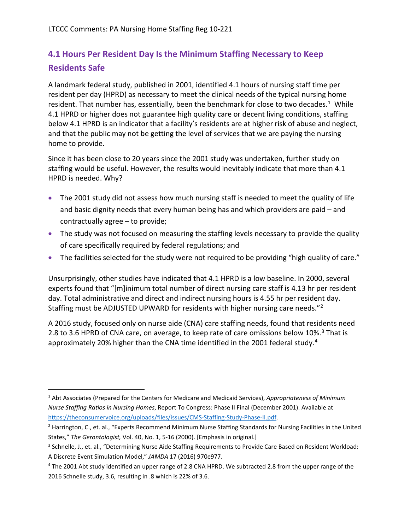## **4.1 Hours Per Resident Day Is the Minimum Staffing Necessary to Keep Residents Safe**

A landmark federal study, published in 2001, identified 4.1 hours of nursing staff time per resident per day (HPRD) as necessary to meet the clinical needs of the typical nursing home resident. That number has, essentially, been the benchmark for close to two decades.<sup>1</sup> While 4.1 HPRD or higher does not guarantee high quality care or decent living conditions, staffing below 4.1 HPRD is an indicator that a facility's residents are at higher risk of abuse and neglect, and that the public may not be getting the level of services that we are paying the nursing home to provide.

Since it has been close to 20 years since the 2001 study was undertaken, further study on staffing would be useful. However, the results would inevitably indicate that more than 4.1 HPRD is needed. Why?

- The 2001 study did not assess how much nursing staff is needed to meet the quality of life and basic dignity needs that every human being has and which providers are paid – and contractually agree – to provide;
- The study was not focused on measuring the staffing levels necessary to provide the quality of care specifically required by federal regulations; and
- The facilities selected for the study were not required to be providing "high quality of care."

Unsurprisingly, other studies have indicated that 4.1 HPRD is a low baseline. In 2000, several experts found that "[m]inimum total number of direct nursing care staff is 4.13 hr per resident day. Total administrative and direct and indirect nursing hours is 4.55 hr per resident day. Staffing must be ADJUSTED UPWARD for residents with higher nursing care needs."[2](#page-1-1) 

A 2016 study, focused only on nurse aide (CNA) care staffing needs, found that residents need 2.8 to 3.6 HPRD of CNA care, on average, to keep rate of care omissions below 10%.<sup>3</sup> That is approximately 20% higher than the CNA time identified in the 2001 federal study.<sup>[4](#page-1-3)</sup>

<span id="page-1-0"></span><sup>1</sup> Abt Associates (Prepared for the Centers for Medicare and Medicaid Services), *Appropriateness of Minimum Nurse Staffing Ratios in Nursing Homes*, Report To Congress: Phase II Final (December 2001). Available at [https://theconsumervoice.org/uploads/files/issues/CMS-Staffing-Study-Phase-II.pdf.](https://theconsumervoice.org/uploads/files/issues/CMS-Staffing-Study-Phase-II.pdf)

<span id="page-1-1"></span><sup>&</sup>lt;sup>2</sup> Harrington, C., et. al., "Experts Recommend Minimum Nurse Staffing Standards for Nursing Facilities in the United States," *The Gerontologist,* Vol. 40, No. 1, 5-16 (2000). [Emphasis in original.]

<span id="page-1-2"></span><sup>3</sup> Schnelle, J., et. al., "Determining Nurse Aide Staffing Requirements to Provide Care Based on Resident Workload: A Discrete Event Simulation Model," *JAMDA* 17 (2016) 970e977.

<span id="page-1-3"></span><sup>4</sup> The 2001 Abt study identified an upper range of 2.8 CNA HPRD. We subtracted 2.8 from the upper range of the 2016 Schnelle study, 3.6, resulting in .8 which is 22% of 3.6.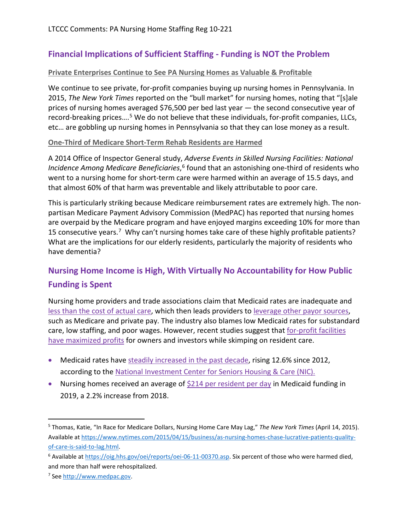### **Financial Implications of Sufficient Staffing - Funding is NOT the Problem**

#### **Private Enterprises Continue to See PA Nursing Homes as Valuable & Profitable**

We continue to see private, for-profit companies buying up nursing homes in Pennsylvania. In 2015, *The New York Times* reported on the "bull market" for nursing homes, noting that "[s]ale prices of nursing homes averaged \$76,500 per bed last year — the second consecutive year of record-breaking prices....<sup>[5](#page-2-0)</sup> We do not believe that these individuals, for-profit companies, LLCs, etc… are gobbling up nursing homes in Pennsylvania so that they can lose money as a result.

#### **One-Third of Medicare Short-Term Rehab Residents are Harmed**

A 2014 Office of Inspector General study, *Adverse Events in Skilled Nursing Facilities: National Incidence Among Medicare Beneficiaries*, [6](#page-2-1) found that an astonishing one-third of residents who went to a nursing home for short-term care were harmed within an average of 15.5 days, and that almost 60% of that harm was preventable and likely attributable to poor care.

This is particularly striking because Medicare reimbursement rates are extremely high. The nonpartisan Medicare Payment Advisory Commission (MedPAC) has reported that nursing homes are overpaid by the Medicare program and have enjoyed margins exceeding 10% for more than 15 consecutive years.<sup>[7](#page-2-2)</sup> Why can't nursing homes take care of these highly profitable patients? What are the implications for our elderly residents, particularly the majority of residents who have dementia?

## **Nursing Home Income is High, With Virtually No Accountability for How Public Funding is Spent**

Nursing home providers and trade associations claim that Medicaid rates are inadequate and [less than the cost of actual care,](https://skillednursingnews.com/2019/03/as-medicaid-rates-lag-behind-costs-nursing-home-bills-skyrocket/) which then leads providers to [leverage other payor sources,](https://www.nic.org/blog/medicaid-reimbursement-rates-draw-attention/) such as Medicare and private pay. The industry also blames low Medicaid rates for substandard care, low staffing, and poor wages. However, recent studies suggest that for-profit facilities [have maximized profits](https://www.npr.org/2020/10/22/918432908/for-profit-nursing-homes-pleas-for-government-money-brings-scrutiny) for owners and investors while skimping on resident care.

- Medicaid rates have [steadily increased in the past decade,](https://nursinghome411.org/wp-content/uploads/2019/06/LTCCC-Center-for-Medicare-Advocacy-Nursing-Home-Alert-June-2019.pdf) rising 12.6% since 2012, according to the [National Investment Center for Seniors Housing & Care \(NIC\).](https://www.nic.org/blog/medicaid-reimbursement-rates-draw-attention/)
- Nursing homes received an average of [\\$214 per resident per day](https://info.nic.org/hubfs/NIC_MAP_Data_Service_Skilled_Nursing_Annual_Report_2019.pdf?hsCtaTracking=e134b7ca-4ed4-48e2-b244-3557a1a69bcf%7C243a2520-314f-4dbb-b765-46a7f0bf2649) in Medicaid funding in 2019, a 2.2% increase from 2018.

<span id="page-2-0"></span><sup>5</sup> Thomas, Katie, "In Race for Medicare Dollars, Nursing Home Care May Lag," *The New York Times* (April 14, 2015). Available a[t https://www.nytimes.com/2015/04/15/business/as-nursing-homes-chase-lucrative-patients-quality](https://www.nytimes.com/2015/04/15/business/as-nursing-homes-chase-lucrative-patients-quality-of-care-is-said-to-lag.html)[of-care-is-said-to-lag.html.](https://www.nytimes.com/2015/04/15/business/as-nursing-homes-chase-lucrative-patients-quality-of-care-is-said-to-lag.html) 

<span id="page-2-1"></span><sup>&</sup>lt;sup>6</sup> Available at [https://oig.hhs.gov/oei/reports/oei-06-11-00370.asp.](https://oig.hhs.gov/oei/reports/oei-06-11-00370.asp) Six percent of those who were harmed died, and more than half were rehospitalized.

<span id="page-2-2"></span><sup>7</sup> See [http://www.medpac.gov.](http://www.medpac.gov/)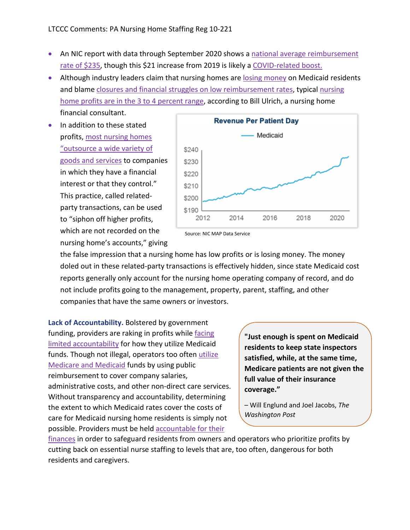- An NIC report with data through September 2020 shows a national average reimbursement [rate of \\$235,](https://info.nic.org/hubfs/NICMAP_Skilled_Nursing_Report_09_2020.pdf?hsCtaTracking=2f74d4fb-e6d5-4eb3-992a-ca74b6c49bb0%7Cdf182dbd-ffc8-4f97-bd29-4bc93fc3ce2c) though this \$21 increase from 2019 is likely a [COVID-related boost.](https://www.mcknights.com/news/states-using-medicaid-to-provide-lifeline-for-providers-association-reports/)
- Although industry leaders claim that nursing homes are [losing money](https://www.witf.org/2018/11/28/profits-over-patients-advocates-say-theres-a-reason-bad-nursing-homes-dont-improve/) on Medicaid residents and blame [closures and financial struggles on low reimbursement rates,](https://skillednursingnews.com/2019/03/as-medicaid-rates-lag-behind-costs-nursing-home-bills-skyrocket/) typical [nursing](https://www.nytimes.com/2018/01/02/business/nursing-homes-care-corporate.html)  [home profits are in the 3 to 4 percent range,](https://www.nytimes.com/2018/01/02/business/nursing-homes-care-corporate.html) according to Bill Ulrich, a nursing home financial consultant.
- In addition to these stated profits[, most nursing homes](https://www.nytimes.com/2018/01/02/business/nursing-homes-care-corporate.html)  ["outsource a wide variety of](https://www.nytimes.com/2018/01/02/business/nursing-homes-care-corporate.html)  [goods and services](https://www.nytimes.com/2018/01/02/business/nursing-homes-care-corporate.html) to companies in which they have a financial interest or that they control." This practice, called relatedparty transactions, can be used to "siphon off higher profits, which are not recorded on the nursing home's accounts," giving



Source: NIC MAP Data Service

the false impression that a nursing home has low profits or is losing money. The money doled out in these related-party transactions is effectively hidden, since state Medicaid cost reports generally only account for the nursing home operating company of record, and do not include profits going to the management, property, parent, staffing, and other companies that have the same owners or investors.

**Lack of Accountability.** Bolstered by government funding, providers are raking in profits while [facing](https://www.washingtonpost.com/business/2020/11/27/nursing-home-incentives/)  [limited accountability](https://www.washingtonpost.com/business/2020/11/27/nursing-home-incentives/) for how they utilize Medicaid funds. Though not illegal, operators too often [utilize](https://nursinghome411.org/joint-statement-medical-loss-ratios-for-nursing-homes-protecting-residents-and-public-funds/)  [Medicare and Medicaid](https://nursinghome411.org/joint-statement-medical-loss-ratios-for-nursing-homes-protecting-residents-and-public-funds/) funds by using public reimbursement to cover company salaries, administrative costs, and other non-direct care services. Without transparency and accountability, determining the extent to which Medicaid rates cover the costs of care for Medicaid nursing home residents is simply not possible. Providers must be hel[d accountable for their](https://skillednursingnews.com/2020/05/as-regulators-mull-new-rules-nursing-homes-must-embrace-ownership-transparency/) 

**"Just enough is spent on Medicaid residents to keep state inspectors satisfied, while, at the same time, Medicare patients are not given the full value of their insurance coverage."**

– Will Englund and Joel Jacobs, *The Washington Post*

[finances](https://skillednursingnews.com/2020/05/as-regulators-mull-new-rules-nursing-homes-must-embrace-ownership-transparency/) in order to safeguard residents from owners and operators who prioritize profits by cutting back on essential nurse staffing to levels that are, too often, dangerous for both residents and caregivers.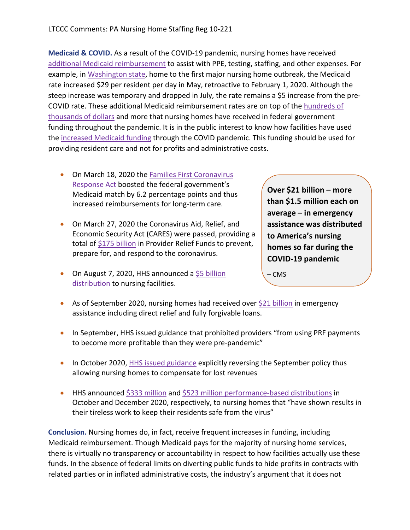**Medicaid & COVID.** As a result of the COVID-19 pandemic, nursing homes have received [additional Medicaid reimbursement](https://www.mcknights.com/news/additional-medicaid-increases-around-country-provide-cushion-for-providers-during-pandemic/) to assist with PPE, testing, staffing, and other expenses. For example, in [Washington state,](https://skillednursingnews.com/2020/08/state-with-first-covid-19-outbreak-rolls-back-medicaid-boost-for-nursing-homes-needless-deaths-will-rise/) home to the first major nursing home outbreak, the Medicaid rate increased \$29 per resident per day in May, retroactive to February 1, 2020. Although the steep increase was temporary and dropped in July, the rate remains a \$5 increase from the pre-COVID rate. These additional Medicaid reimbursement rates are on top of the hundreds of [thousands of dollars](https://skillednursingnews.com/2020/12/medpac-nursing-homes-on-solid-financial-ground-despite-covid-medicare-boost-poor-approach/?utm_source=Skilled+Nursing+News&utm_campaign=5bd07cf313-EMAIL_CAMPAIGN_2020_12_07_09_51_COPY_01&utm_medium=email&utm_term=0_0eef5a402c-5bd07cf313-394233) and more that nursing homes have received in federal government funding throughout the pandemic. It is in the public interest to know how facilities have used the [increased Medicaid funding](https://www.leadingage.org/regulation/states-leverage-medicaid-provide-nursing-homes-lifeline-through-covid-19) through the COVID pandemic. This funding should be used for providing resident care and not for profits and administrative costs.

- On March 18, 2020 the [Families First Coronavirus](https://skillednursingnews.com/2020/03/coronavirus-briefs-22-confirmed-cases-at-ill-nursing-home-financing-remains-fluid/)  [Response Act](https://skillednursingnews.com/2020/03/coronavirus-briefs-22-confirmed-cases-at-ill-nursing-home-financing-remains-fluid/) boosted the federal government's Medicaid match by 6.2 percentage points and thus increased reimbursements for long-term care.
- On March 27, 2020 the Coronavirus Aid, Relief, and Economic Security Act (CARES) were passed, providing a total of [\\$175 billion](https://www.hhs.gov/about/news/2020/05/22/hhs-announces-nearly-4.9-billion-distribution-to-nursing-facilities-impacted-by-covid19.html) in Provider Relief Funds to prevent, prepare for, and respond to the coronavirus.
- On August 7, 2020, HHS announced a \$5 billion [distribution](https://www.hhs.gov/about/news/2020/08/07/hhs-announces-allocations-of-cares-act-provider-relief-fund-for-nursing-homes.html#:%7E:text=HHS%20Announces%20Allocations%20of%20CARES%20Act%20Provider%20Relief%20Fund%20for%20Nursing%20Homes,-The%20Department%20of&text=The%20%245%20billion%20distribution%20will,those%20establishing%20COVID%20isolation%20facilities.) to nursing facilities.

**Over \$21 billion – more than \$1.5 million each on average – in emergency assistance was distributed to America's nursing homes so far during the COVID-19 pandemic**

– CMS

- As of September 2020, nursing homes had received over [\\$21 billion](https://www.cms.gov/newsroom/press-releases/independent-nursing-home-covid-19-commission-findings-validate-unprecedented-federal-response) in emergency assistance including direct relief and fully forgivable loans.
- In September, HHS issued guidance that prohibited providers "from using PRF payments" to become more profitable than they were pre-pandemic"
- In October 2020[, HHS issued guidance](https://www.hhs.gov/sites/default/files/reporting-requirements-policy-update.pdf) explicitly reversing the September policy thus allowing nursing homes to compensate for lost revenues
- HHS announced [\\$333 million](https://www.hhs.gov/about/news/2020/10/28/trump-administration-distributes-incentive-payments-to-nursing-homes-curbing-covid-19-deaths-and-infections.html) and [\\$523 million performance-based distributions](https://www.hhs.gov/about/news/2020/12/07/trump-administration-announces-new-half-billion-incentive-payment-distribution-to-nursing-homes.html) in October and December 2020, respectively, to nursing homes that "have shown results in their tireless work to keep their residents safe from the virus"

**Conclusion.** Nursing homes do, in fact, receive frequent increases in funding, including Medicaid reimbursement. Though Medicaid pays for the majority of nursing home services, there is virtually no transparency or accountability in respect to how facilities actually use these funds. In the absence of federal limits on diverting public funds to hide profits in contracts with related parties or in inflated administrative costs, the industry's argument that it does not